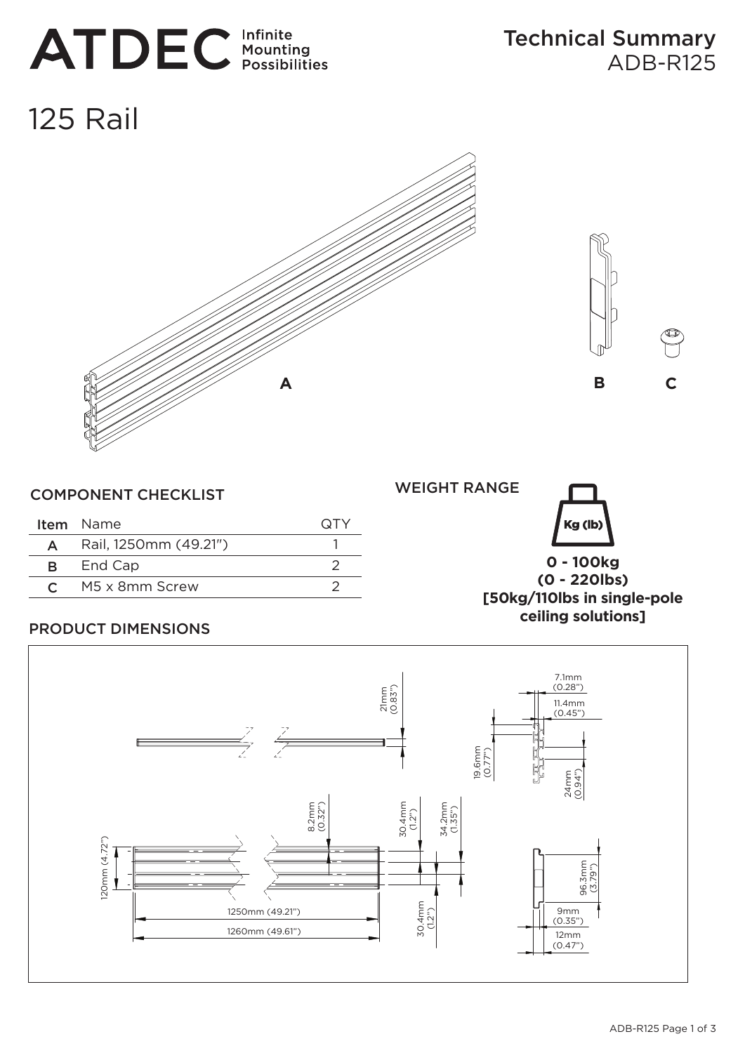# **ATDEC** Infinite

# 125 Rail





|   | <b>Item</b> Name      | (31Y |
|---|-----------------------|------|
| A | Rail, 1250mm (49.21") |      |
|   | <b>B</b> End Cap      |      |
|   | $C$ M5 x 8mm Screw    |      |

WEIGHT RANGE



**0 - 100kg (0 - 220lbs) [50kg/110lbs in single-pole ceiling solutions]**

# PRODUCT DIMENSIONS

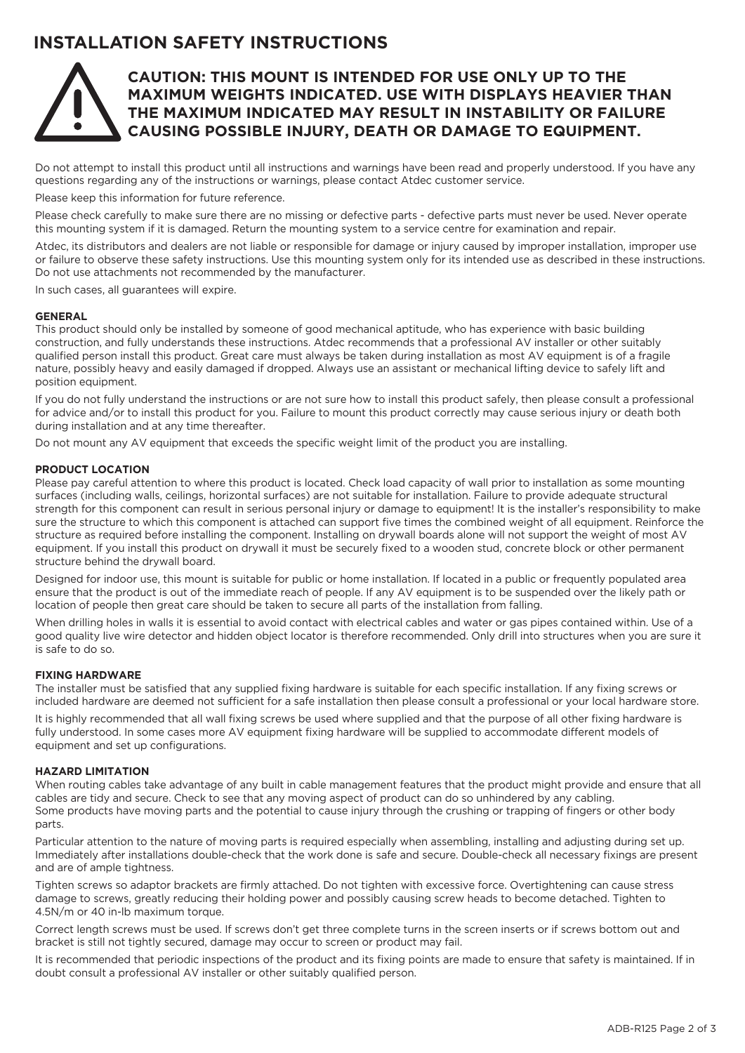# **INSTALLATION SAFETY INSTRUCTIONS**



## **CAUTION: THIS MOUNT IS INTENDED FOR USE ONLY UP TO THE MAXIMUM WEIGHTS INDICATED. USE WITH DISPLAYS HEAVIER THAN THE MAXIMUM INDICATED MAY RESULT IN INSTABILITY OR FAILURE CAUSING POSSIBLE INJURY, DEATH OR DAMAGE TO EQUIPMENT.**

Do not attempt to install this product until all instructions and warnings have been read and properly understood. If you have any questions regarding any of the instructions or warnings, please contact Atdec customer service.

Please keep this information for future reference.

Please check carefully to make sure there are no missing or defective parts - defective parts must never be used. Never operate this mounting system if it is damaged. Return the mounting system to a service centre for examination and repair.

Atdec, its distributors and dealers are not liable or responsible for damage or injury caused by improper installation, improper use or failure to observe these safety instructions. Use this mounting system only for its intended use as described in these instructions. Do not use attachments not recommended by the manufacturer.

In such cases, all guarantees will expire.

#### **GENERAL**

This product should only be installed by someone of good mechanical aptitude, who has experience with basic building construction, and fully understands these instructions. Atdec recommends that a professional AV installer or other suitably qualified person install this product. Great care must always be taken during installation as most AV equipment is of a fragile nature, possibly heavy and easily damaged if dropped. Always use an assistant or mechanical lifting device to safely lift and position equipment.

If you do not fully understand the instructions or are not sure how to install this product safely, then please consult a professional for advice and/or to install this product for you. Failure to mount this product correctly may cause serious injury or death both during installation and at any time thereafter.

Do not mount any AV equipment that exceeds the specific weight limit of the product you are installing.

#### **PRODUCT LOCATION**

Please pay careful attention to where this product is located. Check load capacity of wall prior to installation as some mounting surfaces (including walls, ceilings, horizontal surfaces) are not suitable for installation. Failure to provide adequate structural strength for this component can result in serious personal injury or damage to equipment! It is the installer's responsibility to make sure the structure to which this component is attached can support five times the combined weight of all equipment. Reinforce the structure as required before installing the component. Installing on drywall boards alone will not support the weight of most AV equipment. If you install this product on drywall it must be securely fixed to a wooden stud, concrete block or other permanent structure behind the drywall board.

Designed for indoor use, this mount is suitable for public or home installation. If located in a public or frequently populated area ensure that the product is out of the immediate reach of people. If any AV equipment is to be suspended over the likely path or location of people then great care should be taken to secure all parts of the installation from falling.

When drilling holes in walls it is essential to avoid contact with electrical cables and water or gas pipes contained within. Use of a good quality live wire detector and hidden object locator is therefore recommended. Only drill into structures when you are sure it is safe to do so.

#### **FIXING HARDWARE**

The installer must be satisfied that any supplied fixing hardware is suitable for each specific installation. If any fixing screws or included hardware are deemed not sufficient for a safe installation then please consult a professional or your local hardware store.

It is highly recommended that all wall fixing screws be used where supplied and that the purpose of all other fixing hardware is fully understood. In some cases more AV equipment fixing hardware will be supplied to accommodate different models of equipment and set up configurations.

### **HAZARD LIMITATION**

When routing cables take advantage of any built in cable management features that the product might provide and ensure that all cables are tidy and secure. Check to see that any moving aspect of product can do so unhindered by any cabling. Some products have moving parts and the potential to cause injury through the crushing or trapping of fingers or other body parts.

Particular attention to the nature of moving parts is required especially when assembling, installing and adjusting during set up. Immediately after installations double-check that the work done is safe and secure. Double-check all necessary fixings are present and are of ample tightness.

Tighten screws so adaptor brackets are firmly attached. Do not tighten with excessive force. Overtightening can cause stress damage to screws, greatly reducing their holding power and possibly causing screw heads to become detached. Tighten to 4.5N/m or 40 in-lb maximum torque.

Correct length screws must be used. If screws don't get three complete turns in the screen inserts or if screws bottom out and bracket is still not tightly secured, damage may occur to screen or product may fail.

It is recommended that periodic inspections of the product and its fixing points are made to ensure that safety is maintained. If in doubt consult a professional AV installer or other suitably qualified person.